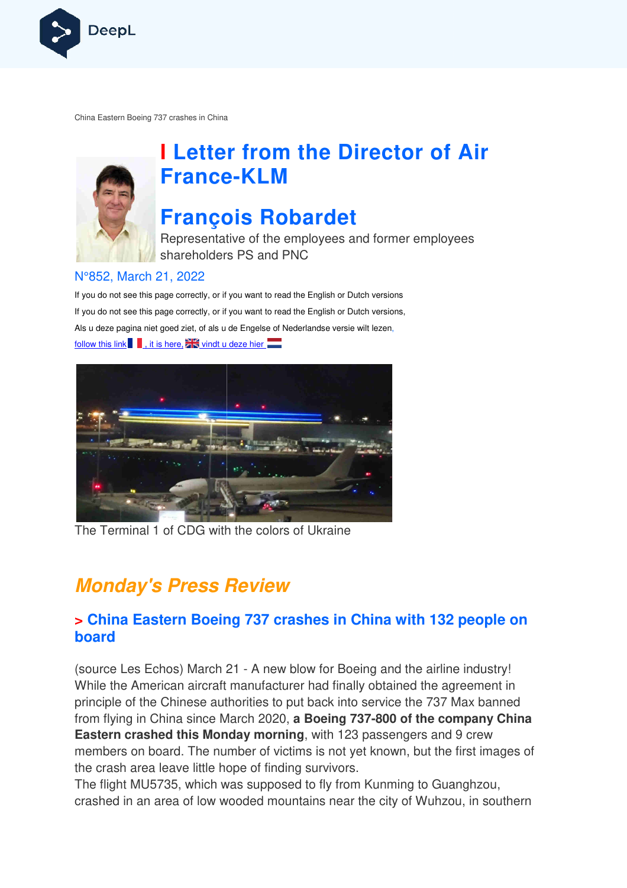

China Eastern Boeing 737 crashes in China



# **I Letter from the Director of Air France France-KLM**

## **François Robardet**

Representative of the employees and former employees shareholders PS and PNC

#### N°852, March 21, 2022

If you do not see this page correctly, or if you want to read the English or Dutch versions If you do not see this page correctly, or if you want to read the English or Dutch versions, If you do not see this page correctly, or if you want to read the English or Dutch versior<br>Als u deze pagina niet goed ziet, of als u de Engelse of Nederlandse versie wilt lezen, follow this link  $\blacksquare$ , it is here, and vindt u deze hier



The Terminal 1 of CDG with the colors of Ukraine

## **Monday's Press Review**

### **> China Eastern Boeing 737 crashes in China with 132 people on board**

(source Les Echos) March 21 - A new blow for Boeing and the airline industry! While the American aircraft manufacturer had finally obtained the agreement in principle of the Chinese authorities to put back into service the 737 Max banned from flying in China since March 2020, a Boeing 737-800 of the company China **Eastern crashed this Monday morning, with 123 passengers and 9 crew** members on board. The number of victims is not yet known, but the first images of the crash area leave little hope of finding survivors.

The flight MU5735, which was supposed to fly from Kunming to Guanghzou, crashed in an area of low wooded mountains near the city of Wuhzou, in southern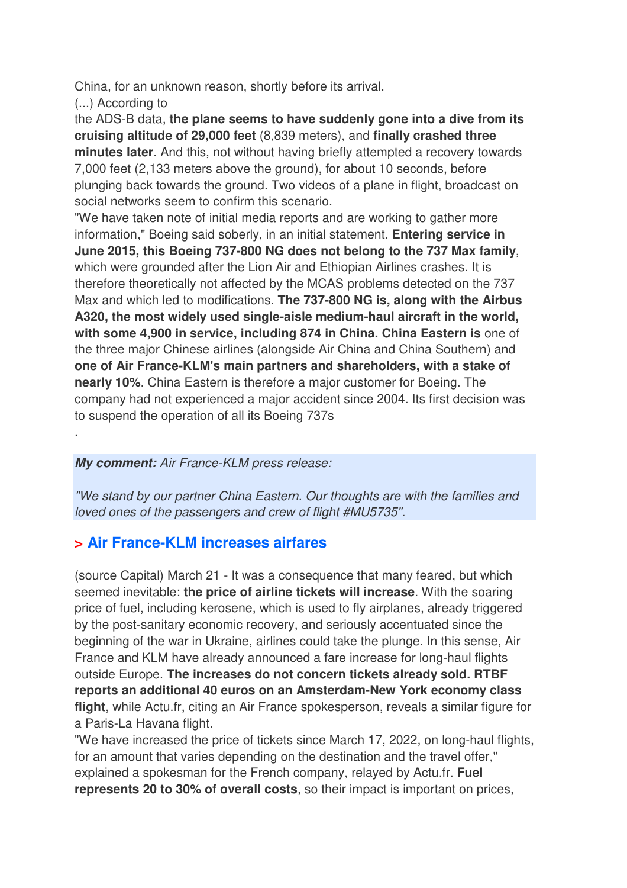China, for an unknown reason, shortly before its arrival.

(...) According to

.

the ADS-B data, **the plane seems to have suddenly gone into a dive from its cruising altitude of 29,000 feet** (8,839 meters), and **finally crashed three minutes later**. And this, not without having briefly attempted a recovery towards 7,000 feet (2,133 meters above the ground), for about 10 seconds, before plunging back towards the ground. Two videos of a plane in flight, broadcast on social networks seem to confirm this scenario.

"We have taken note of initial media reports and are working to gather more information," Boeing said soberly, in an initial statement. **Entering service in June 2015, this Boeing 737-800 NG does not belong to the 737 Max family**, which were grounded after the Lion Air and Ethiopian Airlines crashes. It is therefore theoretically not affected by the MCAS problems detected on the 737 Max and which led to modifications. **The 737-800 NG is, along with the Airbus A320, the most widely used single-aisle medium-haul aircraft in the world, with some 4,900 in service, including 874 in China. China Eastern is** one of the three major Chinese airlines (alongside Air China and China Southern) and **one of Air France-KLM's main partners and shareholders, with a stake of nearly 10%**. China Eastern is therefore a major customer for Boeing. The company had not experienced a major accident since 2004. Its first decision was to suspend the operation of all its Boeing 737s

#### **My comment:** Air France-KLM press release:

"We stand by our partner China Eastern. Our thoughts are with the families and loved ones of the passengers and crew of flight #MU5735".

## **> Air France-KLM increases airfares**

(source Capital) March 21 - It was a consequence that many feared, but which seemed inevitable: **the price of airline tickets will increase**. With the soaring price of fuel, including kerosene, which is used to fly airplanes, already triggered by the post-sanitary economic recovery, and seriously accentuated since the beginning of the war in Ukraine, airlines could take the plunge. In this sense, Air France and KLM have already announced a fare increase for long-haul flights outside Europe. **The increases do not concern tickets already sold. RTBF reports an additional 40 euros on an Amsterdam-New York economy class flight**, while Actu.fr, citing an Air France spokesperson, reveals a similar figure for a Paris-La Havana flight.

"We have increased the price of tickets since March 17, 2022, on long-haul flights, for an amount that varies depending on the destination and the travel offer," explained a spokesman for the French company, relayed by Actu.fr. **Fuel represents 20 to 30% of overall costs**, so their impact is important on prices,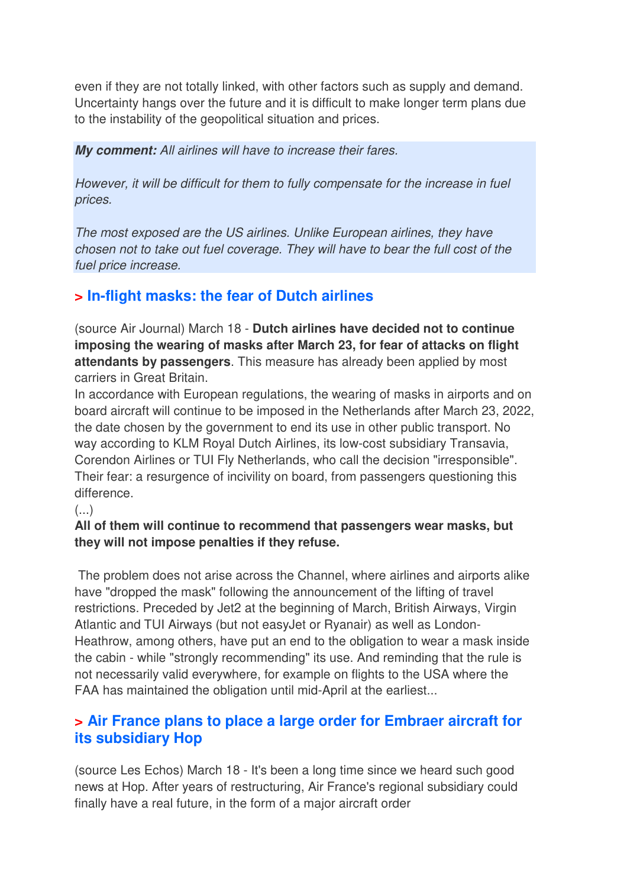even if they are not totally linked, with other factors such as supply and demand. Uncertainty hangs over the future and it is difficult to make longer term plans due to the instability of the geopolitical situation and prices.

**My comment:** All airlines will have to increase their fares.

However, it will be difficult for them to fully compensate for the increase in fuel prices.

The most exposed are the US airlines. Unlike European airlines, they have chosen not to take out fuel coverage. They will have to bear the full cost of the fuel price increase.

## **> In-flight masks: the fear of Dutch airlines**

(source Air Journal) March 18 - **Dutch airlines have decided not to continue imposing the wearing of masks after March 23, for fear of attacks on flight attendants by passengers**. This measure has already been applied by most carriers in Great Britain.

In accordance with European regulations, the wearing of masks in airports and on board aircraft will continue to be imposed in the Netherlands after March 23, 2022, the date chosen by the government to end its use in other public transport. No way according to KLM Royal Dutch Airlines, its low-cost subsidiary Transavia, Corendon Airlines or TUI Fly Netherlands, who call the decision "irresponsible". Their fear: a resurgence of incivility on board, from passengers questioning this difference.

#### $(\ldots)$

#### **All of them will continue to recommend that passengers wear masks, but they will not impose penalties if they refuse.**

 The problem does not arise across the Channel, where airlines and airports alike have "dropped the mask" following the announcement of the lifting of travel restrictions. Preceded by Jet2 at the beginning of March, British Airways, Virgin Atlantic and TUI Airways (but not easyJet or Ryanair) as well as London-Heathrow, among others, have put an end to the obligation to wear a mask inside the cabin - while "strongly recommending" its use. And reminding that the rule is not necessarily valid everywhere, for example on flights to the USA where the FAA has maintained the obligation until mid-April at the earliest...

## **> Air France plans to place a large order for Embraer aircraft for its subsidiary Hop**

(source Les Echos) March 18 - It's been a long time since we heard such good news at Hop. After years of restructuring, Air France's regional subsidiary could finally have a real future, in the form of a major aircraft order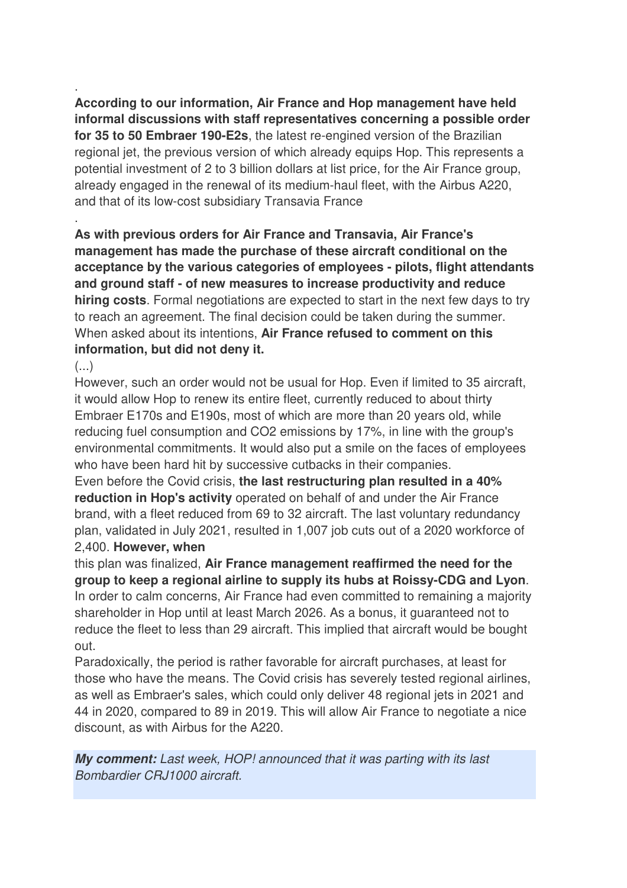. **According to our information, Air France and Hop management have held informal discussions with staff representatives concerning a possible order for 35 to 50 Embraer 190-E2s**, the latest re-engined version of the Brazilian regional jet, the previous version of which already equips Hop. This represents a potential investment of 2 to 3 billion dollars at list price, for the Air France group, already engaged in the renewal of its medium-haul fleet, with the Airbus A220, and that of its low-cost subsidiary Transavia France

**As with previous orders for Air France and Transavia, Air France's management has made the purchase of these aircraft conditional on the acceptance by the various categories of employees - pilots, flight attendants and ground staff - of new measures to increase productivity and reduce hiring costs**. Formal negotiations are expected to start in the next few days to try to reach an agreement. The final decision could be taken during the summer. When asked about its intentions, **Air France refused to comment on this information, but did not deny it.** 

(...)

.

However, such an order would not be usual for Hop. Even if limited to 35 aircraft, it would allow Hop to renew its entire fleet, currently reduced to about thirty Embraer E170s and E190s, most of which are more than 20 years old, while reducing fuel consumption and CO2 emissions by 17%, in line with the group's environmental commitments. It would also put a smile on the faces of employees who have been hard hit by successive cutbacks in their companies.

Even before the Covid crisis, **the last restructuring plan resulted in a 40% reduction in Hop's activity** operated on behalf of and under the Air France brand, with a fleet reduced from 69 to 32 aircraft. The last voluntary redundancy plan, validated in July 2021, resulted in 1,007 job cuts out of a 2020 workforce of 2,400. **However, when** 

this plan was finalized, **Air France management reaffirmed the need for the group to keep a regional airline to supply its hubs at Roissy-CDG and Lyon**. In order to calm concerns, Air France had even committed to remaining a majority shareholder in Hop until at least March 2026. As a bonus, it guaranteed not to reduce the fleet to less than 29 aircraft. This implied that aircraft would be bought out.

Paradoxically, the period is rather favorable for aircraft purchases, at least for those who have the means. The Covid crisis has severely tested regional airlines, as well as Embraer's sales, which could only deliver 48 regional jets in 2021 and 44 in 2020, compared to 89 in 2019. This will allow Air France to negotiate a nice discount, as with Airbus for the A220.

**My comment:** Last week, HOP! announced that it was parting with its last Bombardier CRJ1000 aircraft.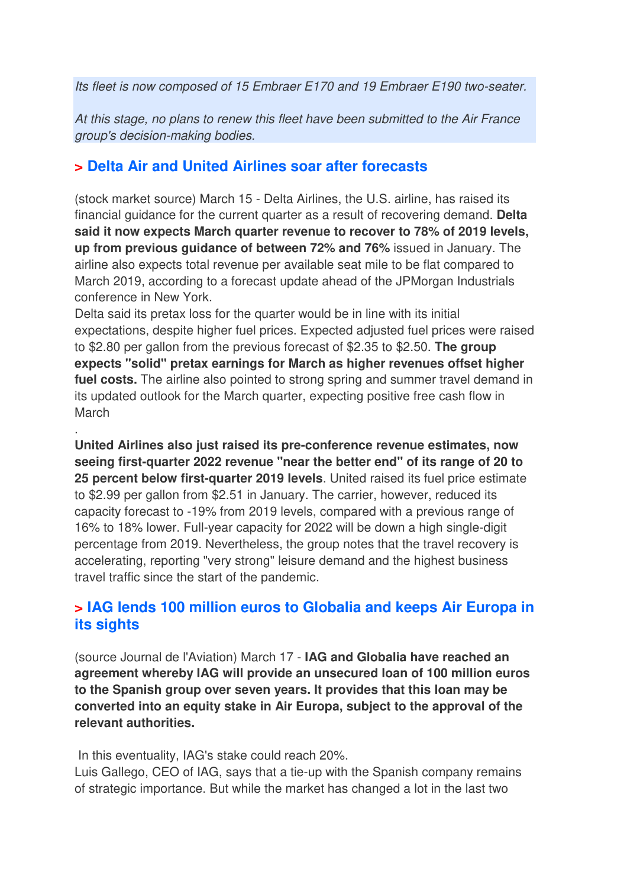Its fleet is now composed of 15 Embraer E170 and 19 Embraer E190 two-seater.

At this stage, no plans to renew this fleet have been submitted to the Air France group's decision-making bodies.

#### **> Delta Air and United Airlines soar after forecasts**

(stock market source) March 15 - Delta Airlines, the U.S. airline, has raised its financial guidance for the current quarter as a result of recovering demand. **Delta said it now expects March quarter revenue to recover to 78% of 2019 levels, up from previous guidance of between 72% and 76%** issued in January. The airline also expects total revenue per available seat mile to be flat compared to March 2019, according to a forecast update ahead of the JPMorgan Industrials conference in New York.

Delta said its pretax loss for the quarter would be in line with its initial expectations, despite higher fuel prices. Expected adjusted fuel prices were raised to \$2.80 per gallon from the previous forecast of \$2.35 to \$2.50. **The group expects "solid" pretax earnings for March as higher revenues offset higher fuel costs.** The airline also pointed to strong spring and summer travel demand in its updated outlook for the March quarter, expecting positive free cash flow in March

**United Airlines also just raised its pre-conference revenue estimates, now seeing first-quarter 2022 revenue "near the better end" of its range of 20 to 25 percent below first-quarter 2019 levels**. United raised its fuel price estimate to \$2.99 per gallon from \$2.51 in January. The carrier, however, reduced its capacity forecast to -19% from 2019 levels, compared with a previous range of 16% to 18% lower. Full-year capacity for 2022 will be down a high single-digit percentage from 2019. Nevertheless, the group notes that the travel recovery is accelerating, reporting "very strong" leisure demand and the highest business travel traffic since the start of the pandemic.

### **> IAG lends 100 million euros to Globalia and keeps Air Europa in its sights**

(source Journal de l'Aviation) March 17 - **IAG and Globalia have reached an agreement whereby IAG will provide an unsecured loan of 100 million euros to the Spanish group over seven years. It provides that this loan may be converted into an equity stake in Air Europa, subject to the approval of the relevant authorities.** 

In this eventuality, IAG's stake could reach 20%.

.

Luis Gallego, CEO of IAG, says that a tie-up with the Spanish company remains of strategic importance. But while the market has changed a lot in the last two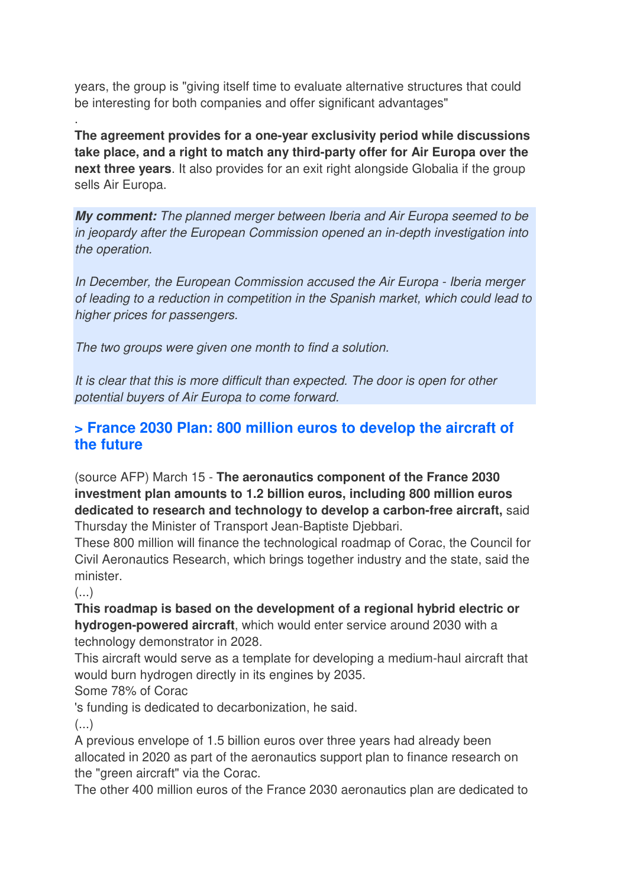years, the group is "giving itself time to evaluate alternative structures that could be interesting for both companies and offer significant advantages"

**The agreement provides for a one-year exclusivity period while discussions take place, and a right to match any third-party offer for Air Europa over the next three years**. It also provides for an exit right alongside Globalia if the group sells Air Europa.

**My comment:** The planned merger between Iberia and Air Europa seemed to be in jeopardy after the European Commission opened an in-depth investigation into the operation.

In December, the European Commission accused the Air Europa - Iberia merger of leading to a reduction in competition in the Spanish market, which could lead to higher prices for passengers.

The two groups were given one month to find a solution.

It is clear that this is more difficult than expected. The door is open for other potential buyers of Air Europa to come forward.

### **> France 2030 Plan: 800 million euros to develop the aircraft of the future**

(source AFP) March 15 - **The aeronautics component of the France 2030 investment plan amounts to 1.2 billion euros, including 800 million euros dedicated to research and technology to develop a carbon-free aircraft,** said Thursday the Minister of Transport Jean-Baptiste Djebbari.

These 800 million will finance the technological roadmap of Corac, the Council for Civil Aeronautics Research, which brings together industry and the state, said the minister.

(...)

.

**This roadmap is based on the development of a regional hybrid electric or hydrogen-powered aircraft**, which would enter service around 2030 with a technology demonstrator in 2028.

This aircraft would serve as a template for developing a medium-haul aircraft that would burn hydrogen directly in its engines by 2035.

Some 78% of Corac

's funding is dedicated to decarbonization, he said.

 $(\ldots)$ 

A previous envelope of 1.5 billion euros over three years had already been allocated in 2020 as part of the aeronautics support plan to finance research on the "green aircraft" via the Corac.

The other 400 million euros of the France 2030 aeronautics plan are dedicated to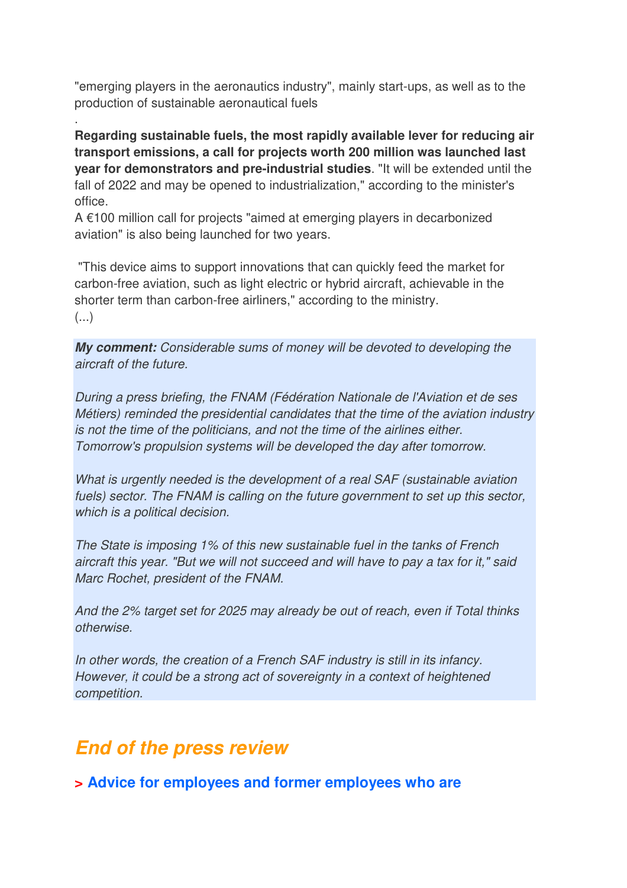"emerging players in the aeronautics industry", mainly start-ups, as well as to the production of sustainable aeronautical fuels

**Regarding sustainable fuels, the most rapidly available lever for reducing air transport emissions, a call for projects worth 200 million was launched last year for demonstrators and pre-industrial studies**. "It will be extended until the fall of 2022 and may be opened to industrialization," according to the minister's office.

A €100 million call for projects "aimed at emerging players in decarbonized aviation" is also being launched for two years.

.

 "This device aims to support innovations that can quickly feed the market for carbon-free aviation, such as light electric or hybrid aircraft, achievable in the shorter term than carbon-free airliners," according to the ministry. (...)

**My comment:** Considerable sums of money will be devoted to developing the aircraft of the future.

During a press briefing, the FNAM (Fédération Nationale de l'Aviation et de ses Métiers) reminded the presidential candidates that the time of the aviation industry is not the time of the politicians, and not the time of the airlines either. Tomorrow's propulsion systems will be developed the day after tomorrow.

What is urgently needed is the development of a real SAF (sustainable aviation fuels) sector. The FNAM is calling on the future government to set up this sector, which is a political decision.

The State is imposing 1% of this new sustainable fuel in the tanks of French aircraft this year. "But we will not succeed and will have to pay a tax for it," said Marc Rochet, president of the FNAM.

And the 2% target set for 2025 may already be out of reach, even if Total thinks otherwise.

In other words, the creation of a French SAF industry is still in its infancy. However, it could be a strong act of sovereignty in a context of heightened competition.

## **End of the press review**

**> Advice for employees and former employees who are**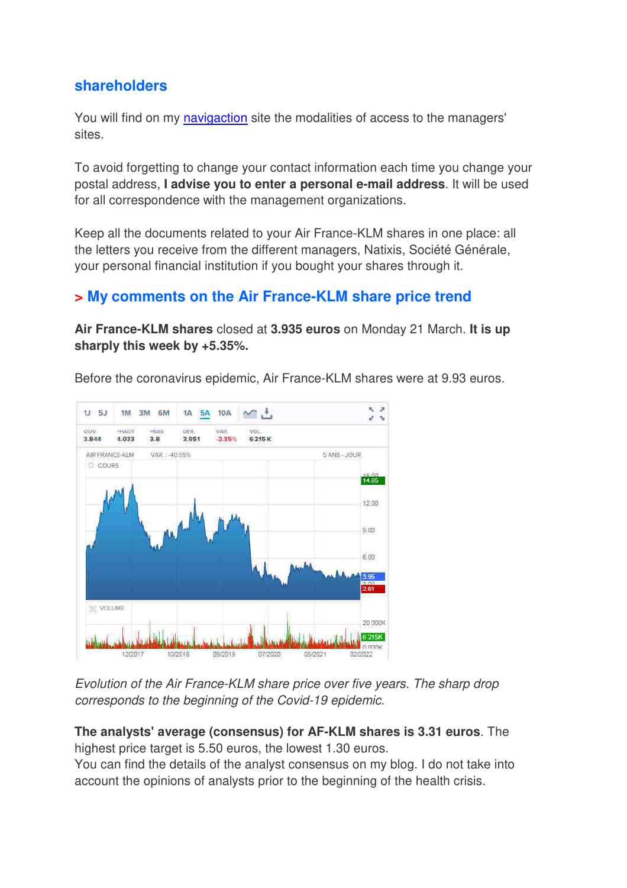#### **shareholders**

You will find on my navigaction site the modalities of access to the managers' sites.

To avoid forgetting to change your contact information each time you change your postal address, **I advise you to enter a personal e-mail address**. It will be used for all correspondence with the management organizations.

Keep all the documents related to your Air France-KLM shares in one place: all the letters you receive from the different managers, Natixis, Société Générale, your personal financial institution if you bought your shares through it.

### **> My comments on the Air France-KLM share price trend**

**Air France-KLM shares** closed at **3.935 euros** on Monday 21 March. **It is up sharply this week by +5.35%.** 





Evolution of the Air France-KLM share price over five years. The sharp drop corresponds to the beginning of the Covid-19 epidemic.

**The analysts' average (consensus) for AF-KLM shares is 3.31 euros**. The highest price target is 5.50 euros, the lowest 1.30 euros.

You can find the details of the analyst consensus on my blog. I do not take into account the opinions of analysts prior to the beginning of the health crisis.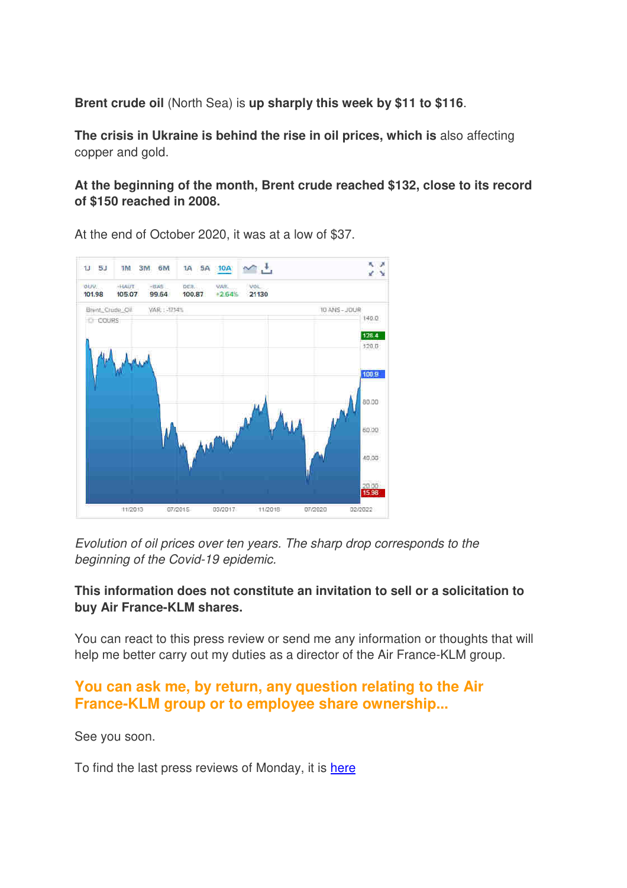**Brent crude oil** (North Sea) is **up sharply this week by \$11 to \$116**.

**The crisis in Ukraine is behind the rise in oil prices, which is** also affecting copper and gold.

**At the beginning of the month, Brent crude reached \$132, close to its record of \$150 reached in 2008.** 



At the end of October 2020, it was at a low of \$37.

Evolution of oil prices over ten years. The sharp drop corresponds to the beginning of the Covid-19 epidemic.

#### **This information does not constitute an invitation to sell or a solicitation to buy Air France-KLM shares.**

You can react to this press review or send me any information or thoughts that will help me better carry out my duties as a director of the Air France-KLM group.

#### **You can ask me, by return, any question relating to the Air France-KLM group or to employee share ownership...**

See you soon.

To find the last press reviews of Monday, it is here